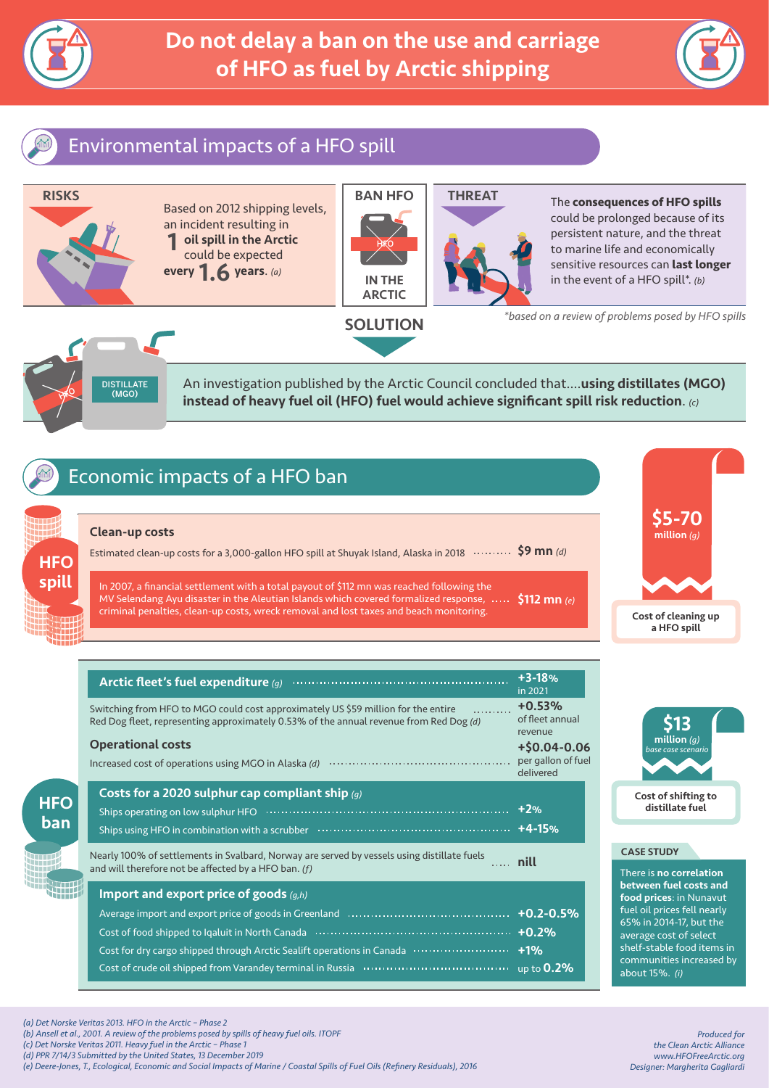



## Environmental impacts of a HFO spill



HAR DISTILLATE  $(MCO)$ 

An investigation published by the Arctic Council concluded that....using distillates (MGO) instead of heavy fuel oil (HFO) fuel would achieve significant spill risk reduction. *(c)*

## Economic impacts of a HFO ban

### Clean-up costs

**HFO** spill

**HFC** ban \$9 mn *(d)* Estimated clean-up costs for a 3,000-gallon HFO spill at Shuyak Island, Alaska in 2018

In 2007, a financial settlement with a total payout of \$112 mn was reached following the MV Selendang Ayu disaster in the Aleutian Islands which covered formalized response, ..... criminal penalties, clean-up costs, wreck removal and lost taxes and beach monitoring. \$112 mn *(e)*

|  | Arctic fleet's fuel expenditure (g)                                                                                                                                         | $+3-18%$<br>in 2021                             |
|--|-----------------------------------------------------------------------------------------------------------------------------------------------------------------------------|-------------------------------------------------|
|  | Switching from HFO to MGO could cost approximately US \$59 million for the entire<br>Red Dog fleet, representing approximately 0.53% of the annual revenue from Red Dog (d) | $+0.53%$<br>of fleet annual<br>revenue          |
|  | <b>Operational costs</b><br>Increased cost of operations using MGO in Alaska (d)                                                                                            | +\$0.04-0.06<br>per gallon of fuel<br>delivered |
|  | Costs for a 2020 sulphur cap compliant ship $(g)$                                                                                                                           |                                                 |
|  |                                                                                                                                                                             |                                                 |
|  | Nearly 100% of settlements in Svalbard, Norway are served by vessels using distillate fuels<br>1.1.1.1<br>and will therefore not be affected by a HFO ban. (f)              | nill                                            |
|  | Import and export price of goods $(g,h)$                                                                                                                                    |                                                 |
|  |                                                                                                                                                                             | $+0.2 - 0.5%$                                   |
|  |                                                                                                                                                                             | $+0.2%$                                         |
|  | Cost for dry cargo shipped through Arctic Sealift operations in Canada ····························                                                                         | $+1%$                                           |
|  |                                                                                                                                                                             | up to $0.2\%$                                   |





### CASE STUDY

There is no correlation between fuel costs and food prices: in Nunavut fuel oil prices fell nearly 65% in 2014-17, but the average cost of select shelf-stable food items in communities increased by about 15%. *(i)*

*Produced for the Clean Arctic Alliance www.HFOFreeArctic.org Designer: Margherita Gagliardi*